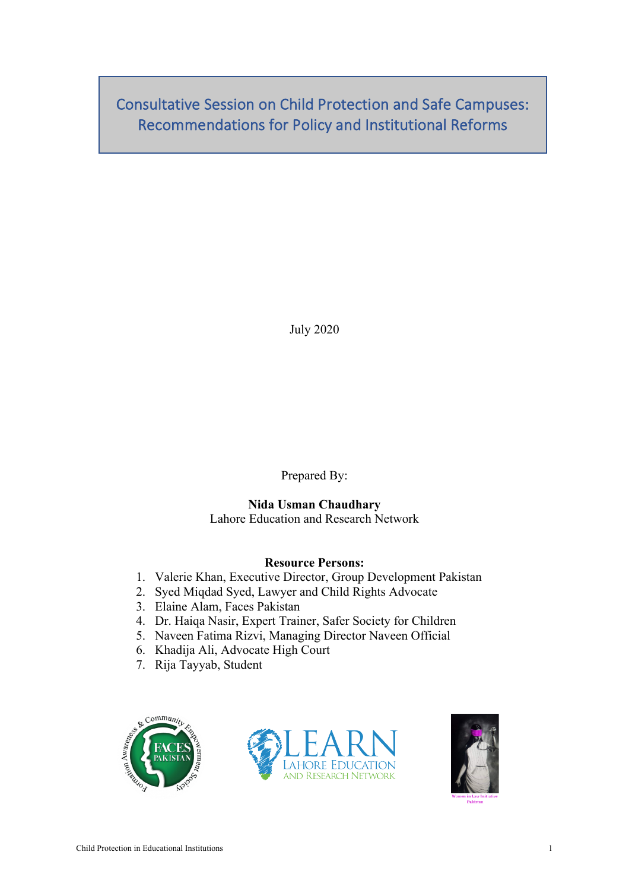Consultative Session on Child Protection and Safe Campuses: Recommendations for Policy and Institutional Reforms

July 2020

Prepared By:

# **Nida Usman Chaudhary**

Lahore Education and Research Network

## **Resource Persons:**

- 1. Valerie Khan, Executive Director, Group Development Pakistan
- 2. Syed Miqdad Syed, Lawyer and Child Rights Advocate
- 3. Elaine Alam, Faces Pakistan
- 4. Dr. Haiqa Nasir, Expert Trainer, Safer Society for Children
- 5. Naveen Fatima Rizvi, Managing Director Naveen Official
- 6. Khadija Ali, Advocate High Court
- 7. Rija Tayyab, Student





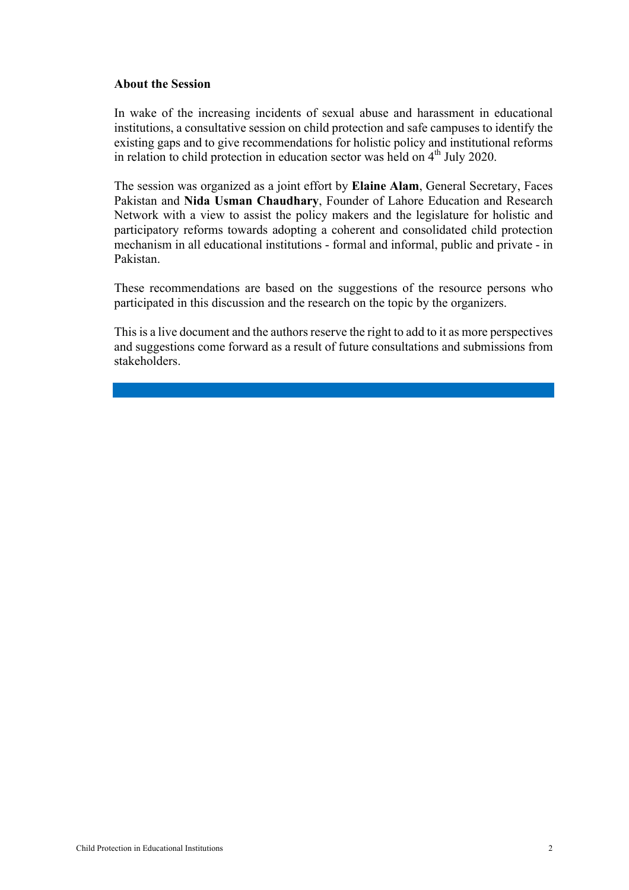#### **About the Session**

In wake of the increasing incidents of sexual abuse and harassment in educational institutions, a consultative session on child protection and safe campuses to identify the existing gaps and to give recommendations for holistic policy and institutional reforms in relation to child protection in education sector was held on  $4<sup>th</sup>$  July 2020.

The session was organized as a joint effort by **Elaine Alam**, General Secretary, Faces Pakistan and **Nida Usman Chaudhary**, Founder of Lahore Education and Research Network with a view to assist the policy makers and the legislature for holistic and participatory reforms towards adopting a coherent and consolidated child protection mechanism in all educational institutions - formal and informal, public and private - in Pakistan.

These recommendations are based on the suggestions of the resource persons who participated in this discussion and the research on the topic by the organizers.

This is a live document and the authors reserve the right to add to it as more perspectives and suggestions come forward as a result of future consultations and submissions from stakeholders.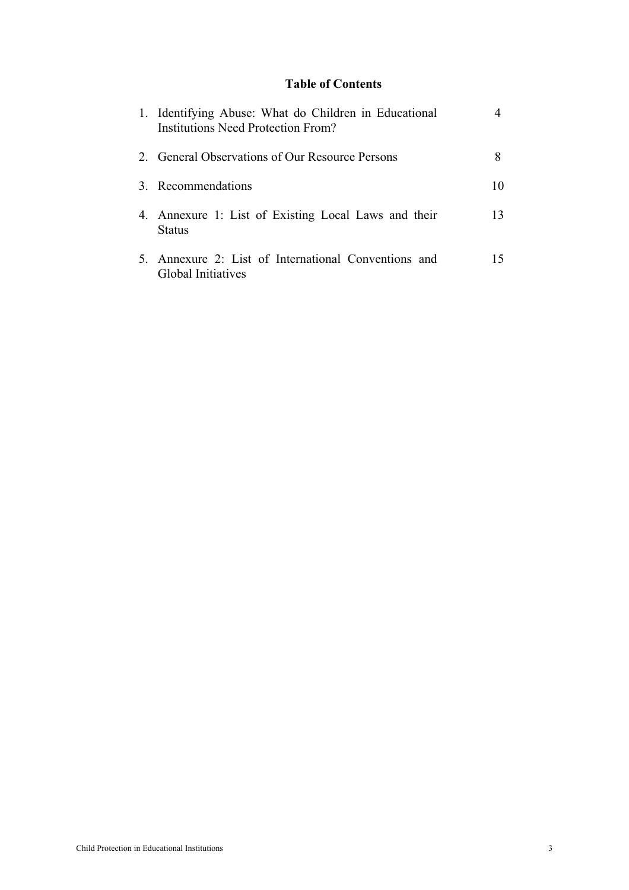## **Table of Contents**

| 1. Identifying Abuse: What do Children in Educational<br><b>Institutions Need Protection From?</b> |    |
|----------------------------------------------------------------------------------------------------|----|
| 2. General Observations of Our Resource Persons                                                    |    |
| 3. Recommendations                                                                                 | 10 |
| 4. Annexure 1: List of Existing Local Laws and their<br>Status                                     | 13 |
| 5. Annexure 2: List of International Conventions and<br>Global Initiatives                         | 15 |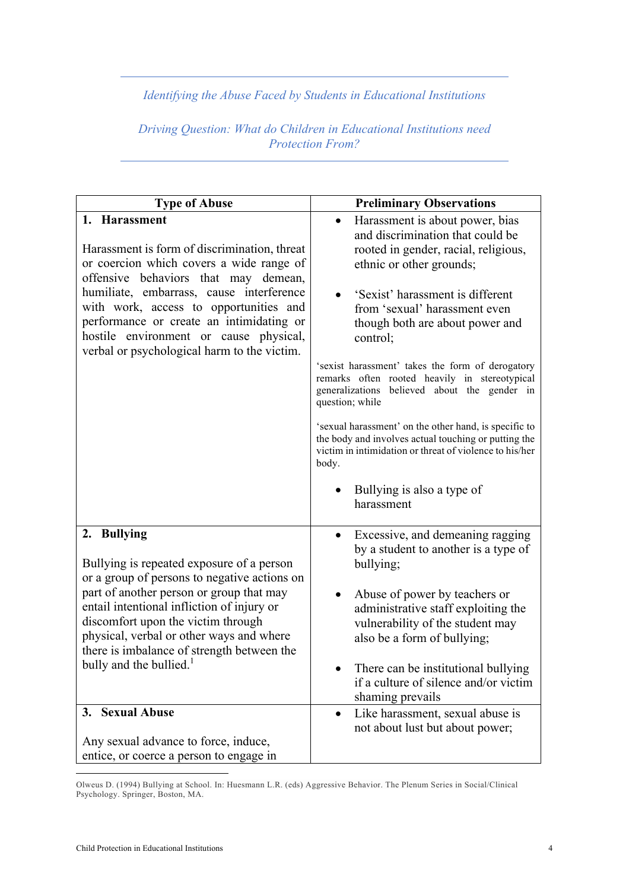*Identifying the Abuse Faced by Students in Educational Institutions*

*Driving Question: What do Children in Educational Institutions need Protection From?*

| <b>Type of Abuse</b>                                                                                                                                                                                                                                                                                                                                                         | <b>Preliminary Observations</b>                                                                                                                                                                                                                                                                                                                                                                                                                                                                                                                                                                                                                                                    |
|------------------------------------------------------------------------------------------------------------------------------------------------------------------------------------------------------------------------------------------------------------------------------------------------------------------------------------------------------------------------------|------------------------------------------------------------------------------------------------------------------------------------------------------------------------------------------------------------------------------------------------------------------------------------------------------------------------------------------------------------------------------------------------------------------------------------------------------------------------------------------------------------------------------------------------------------------------------------------------------------------------------------------------------------------------------------|
| 1. Harassment<br>Harassment is form of discrimination, threat<br>or coercion which covers a wide range of<br>offensive behaviors that may demean,<br>humiliate, embarrass, cause interference<br>with work, access to opportunities and<br>performance or create an intimidating or<br>hostile environment or cause physical,<br>verbal or psychological harm to the victim. | Harassment is about power, bias<br>$\bullet$<br>and discrimination that could be<br>rooted in gender, racial, religious,<br>ethnic or other grounds;<br>'Sexist' harassment is different<br>from 'sexual' harassment even<br>though both are about power and<br>control;<br>'sexist harassment' takes the form of derogatory<br>remarks often rooted heavily in stereotypical<br>generalizations believed about the gender in<br>question; while<br>'s exual harassment' on the other hand, is specific to<br>the body and involves actual touching or putting the<br>victim in intimidation or threat of violence to his/her<br>body.<br>Bullying is also a type of<br>harassment |
| 2. Bullying<br>Bullying is repeated exposure of a person<br>or a group of persons to negative actions on<br>part of another person or group that may<br>entail intentional infliction of injury or<br>discomfort upon the victim through<br>physical, verbal or other ways and where<br>there is imbalance of strength between the<br>bully and the bullied. <sup>1</sup>    | Excessive, and demeaning ragging<br>$\bullet$<br>by a student to another is a type of<br>bullying;<br>Abuse of power by teachers or<br>administrative staff exploiting the<br>vulnerability of the student may<br>also be a form of bullying;<br>There can be institutional bullying<br>if a culture of silence and/or victim<br>shaming prevails                                                                                                                                                                                                                                                                                                                                  |
| 3. Sexual Abuse<br>Any sexual advance to force, induce,                                                                                                                                                                                                                                                                                                                      | Like harassment, sexual abuse is<br>$\bullet$<br>not about lust but about power;                                                                                                                                                                                                                                                                                                                                                                                                                                                                                                                                                                                                   |
| entice, or coerce a person to engage in                                                                                                                                                                                                                                                                                                                                      |                                                                                                                                                                                                                                                                                                                                                                                                                                                                                                                                                                                                                                                                                    |

Olweus D. (1994) Bullying at School. In: Huesmann L.R. (eds) Aggressive Behavior. The Plenum Series in Social/Clinical Psychology. Springer, Boston, MA.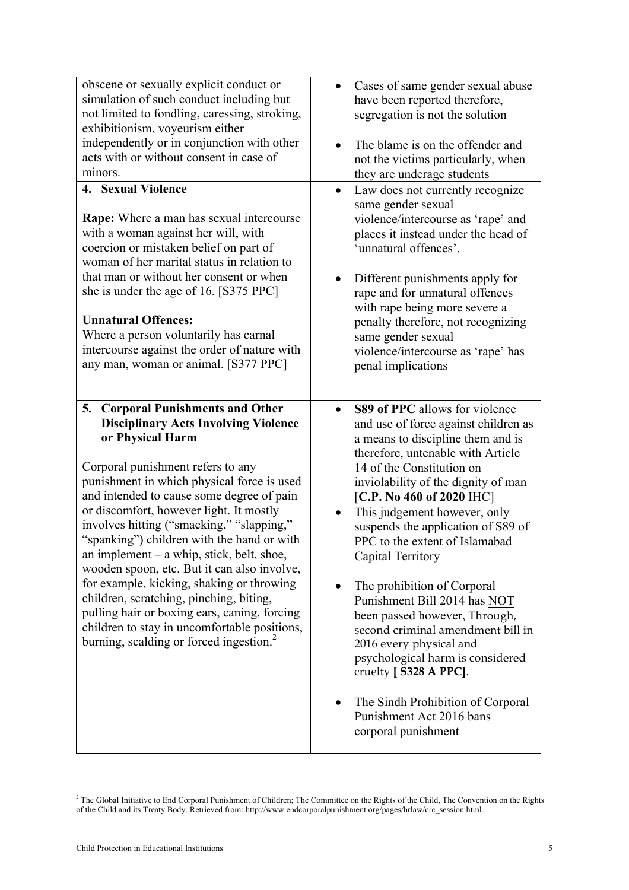| obscene or sexually explicit conduct or<br>simulation of such conduct including but<br>not limited to fondling, caressing, stroking,                                                                                                                                                                                                                                                                                                                                                                                                                                                                                                                                             | Cases of same gender sexual abuse<br>$\bullet$<br>have been reported therefore,<br>segregation is not the solution                                                                                                                                                                                                                                                                                                                                                                                                                                                                                                                                                |
|----------------------------------------------------------------------------------------------------------------------------------------------------------------------------------------------------------------------------------------------------------------------------------------------------------------------------------------------------------------------------------------------------------------------------------------------------------------------------------------------------------------------------------------------------------------------------------------------------------------------------------------------------------------------------------|-------------------------------------------------------------------------------------------------------------------------------------------------------------------------------------------------------------------------------------------------------------------------------------------------------------------------------------------------------------------------------------------------------------------------------------------------------------------------------------------------------------------------------------------------------------------------------------------------------------------------------------------------------------------|
| exhibitionism, voyeurism either<br>independently or in conjunction with other                                                                                                                                                                                                                                                                                                                                                                                                                                                                                                                                                                                                    |                                                                                                                                                                                                                                                                                                                                                                                                                                                                                                                                                                                                                                                                   |
| acts with or without consent in case of                                                                                                                                                                                                                                                                                                                                                                                                                                                                                                                                                                                                                                          | The blame is on the offender and<br>not the victims particularly, when                                                                                                                                                                                                                                                                                                                                                                                                                                                                                                                                                                                            |
| minors.                                                                                                                                                                                                                                                                                                                                                                                                                                                                                                                                                                                                                                                                          | they are underage students                                                                                                                                                                                                                                                                                                                                                                                                                                                                                                                                                                                                                                        |
| 4. Sexual Violence<br><b>Rape:</b> Where a man has sexual intercourse<br>with a woman against her will, with<br>coercion or mistaken belief on part of<br>woman of her marital status in relation to<br>that man or without her consent or when<br>she is under the age of 16. [S375 PPC]<br><b>Unnatural Offences:</b><br>Where a person voluntarily has carnal<br>intercourse against the order of nature with<br>any man, woman or animal. [S377 PPC]                                                                                                                                                                                                                         | Law does not currently recognize<br>$\bullet$<br>same gender sexual<br>violence/intercourse as 'rape' and<br>places it instead under the head of<br>'unnatural offences'.<br>Different punishments apply for<br>rape and for unnatural offences<br>with rape being more severe a<br>penalty therefore, not recognizing<br>same gender sexual<br>violence/intercourse as 'rape' has<br>penal implications                                                                                                                                                                                                                                                          |
| <b>Corporal Punishments and Other</b><br>5.                                                                                                                                                                                                                                                                                                                                                                                                                                                                                                                                                                                                                                      | <b>S89 of PPC</b> allows for violence                                                                                                                                                                                                                                                                                                                                                                                                                                                                                                                                                                                                                             |
| <b>Disciplinary Acts Involving Violence</b><br>or Physical Harm<br>Corporal punishment refers to any<br>punishment in which physical force is used<br>and intended to cause some degree of pain<br>or discomfort, however light. It mostly<br>involves hitting ("smacking," "slapping,"<br>"spanking") children with the hand or with<br>an implement – a whip, stick, belt, shoe,<br>wooden spoon, etc. But it can also involve,<br>for example, kicking, shaking or throwing<br>children, scratching, pinching, biting,<br>pulling hair or boxing ears, caning, forcing<br>children to stay in uncomfortable positions,<br>burning, scalding or forced ingestion. <sup>2</sup> | and use of force against children as<br>a means to discipline them and is<br>therefore, untenable with Article<br>14 of the Constitution on<br>inviolability of the dignity of man<br>[C.P. No 460 of 2020 IHC]<br>This judgement however, only<br>suspends the application of S89 of<br>PPC to the extent of Islamabad<br>Capital Territory<br>The prohibition of Corporal<br>Punishment Bill 2014 has NOT<br>been passed however, Through,<br>second criminal amendment bill in<br>2016 every physical and<br>psychological harm is considered<br>cruelty [S328 A PPC].<br>The Sindh Prohibition of Corporal<br>Punishment Act 2016 bans<br>corporal punishment |

 <sup>2</sup> The Global Initiative to End Corporal Punishment of Children; The Committee on the Rights of the Child, The Convention on the Rights of the Child and its Treaty Body. Retrieved from: http://www.endcorporalpunishment.org/pages/hrlaw/crc\_session.html.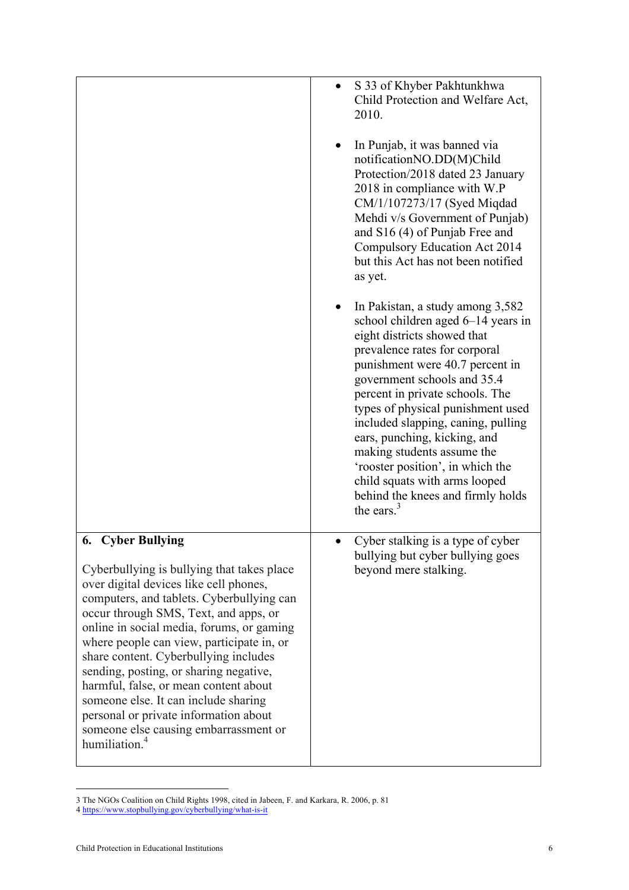|                                                                                                                                                                                                                                                                                                                                                                                                                                                                                                                                                                                     | S 33 of Khyber Pakhtunkhwa<br>$\bullet$<br>Child Protection and Welfare Act,<br>2010.<br>In Punjab, it was banned via<br>notificationNO.DD(M)Child<br>Protection/2018 dated 23 January<br>2018 in compliance with W.P<br>CM/1/107273/17 (Syed Miqdad<br>Mehdi v/s Government of Punjab)<br>and S16 (4) of Punjab Free and<br>Compulsory Education Act 2014<br>but this Act has not been notified                                                                                                                           |
|-------------------------------------------------------------------------------------------------------------------------------------------------------------------------------------------------------------------------------------------------------------------------------------------------------------------------------------------------------------------------------------------------------------------------------------------------------------------------------------------------------------------------------------------------------------------------------------|----------------------------------------------------------------------------------------------------------------------------------------------------------------------------------------------------------------------------------------------------------------------------------------------------------------------------------------------------------------------------------------------------------------------------------------------------------------------------------------------------------------------------|
|                                                                                                                                                                                                                                                                                                                                                                                                                                                                                                                                                                                     | as yet.<br>In Pakistan, a study among 3,582<br>school children aged 6–14 years in<br>eight districts showed that<br>prevalence rates for corporal<br>punishment were 40.7 percent in<br>government schools and 35.4<br>percent in private schools. The<br>types of physical punishment used<br>included slapping, caning, pulling<br>ears, punching, kicking, and<br>making students assume the<br>'rooster position', in which the<br>child squats with arms looped<br>behind the knees and firmly holds<br>the ears. $3$ |
| <b>6.</b> Cyber Bullying<br>Cyberbullying is bullying that takes place<br>over digital devices like cell phones,<br>computers, and tablets. Cyberbullying can<br>occur through SMS, Text, and apps, or<br>online in social media, forums, or gaming<br>where people can view, participate in, or<br>share content. Cyberbullying includes<br>sending, posting, or sharing negative,<br>harmful, false, or mean content about<br>someone else. It can include sharing<br>personal or private information about<br>someone else causing embarrassment or<br>humiliation. <sup>4</sup> | Cyber stalking is a type of cyber<br>bullying but cyber bullying goes<br>beyond mere stalking.                                                                                                                                                                                                                                                                                                                                                                                                                             |

<sup>3</sup> The NGOs Coalition on Child Rights 1998, cited in Jabeen, F. and Karkara, R. 2006, p. 81

 

<sup>4</sup> https://www.stopbullying.gov/cyberbullying/what-is-it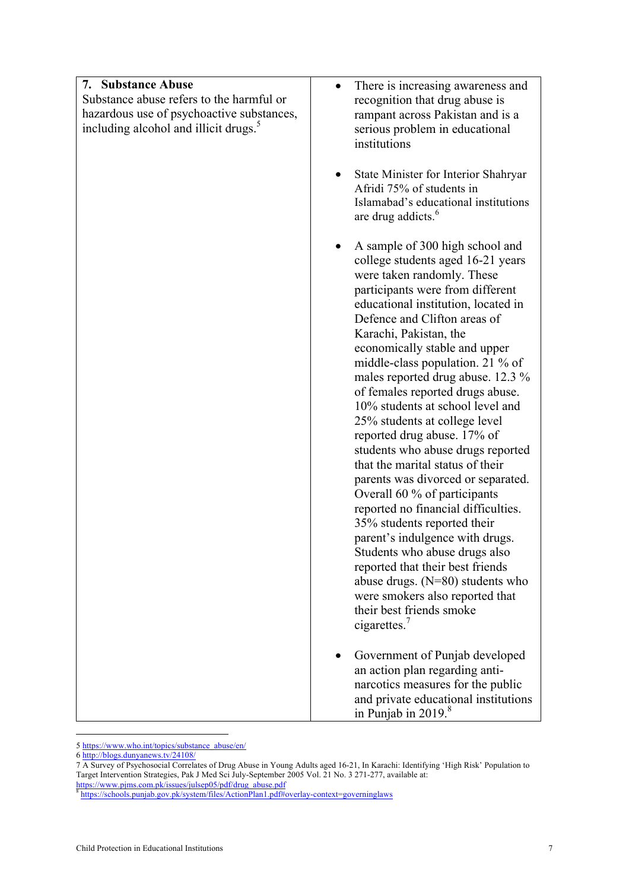| 7. Substance Abuse                                | There is increasing awareness and<br>$\bullet$                         |
|---------------------------------------------------|------------------------------------------------------------------------|
| Substance abuse refers to the harmful or          | recognition that drug abuse is                                         |
| hazardous use of psychoactive substances,         | rampant across Pakistan and is a                                       |
| including alcohol and illicit drugs. <sup>5</sup> | serious problem in educational                                         |
|                                                   | institutions                                                           |
|                                                   | State Minister for Interior Shahryar<br>Afridi 75% of students in      |
|                                                   | Islamabad's educational institutions<br>are drug addicts. <sup>6</sup> |
|                                                   | A sample of 300 high school and<br>college students aged 16-21 years   |
|                                                   | were taken randomly. These<br>participants were from different         |
|                                                   | educational institution, located in<br>Defence and Clifton areas of    |
|                                                   | Karachi, Pakistan, the                                                 |
|                                                   | economically stable and upper                                          |
|                                                   | middle-class population. 21 % of<br>males reported drug abuse. 12.3 %  |
|                                                   | of females reported drugs abuse.                                       |
|                                                   | 10% students at school level and                                       |
|                                                   | 25% students at college level<br>reported drug abuse. 17% of           |
|                                                   | students who abuse drugs reported                                      |
|                                                   | that the marital status of their                                       |
|                                                   | parents was divorced or separated.<br>Overall 60 % of participants     |
|                                                   | reported no financial difficulties.                                    |
|                                                   | 35% students reported their                                            |
|                                                   | parent's indulgence with drugs.<br>Students who abuse drugs also       |
|                                                   | reported that their best friends                                       |
|                                                   | abuse drugs. $(N=80)$ students who                                     |
|                                                   | were smokers also reported that<br>their best friends smoke            |
|                                                   | cigarettes. $7$                                                        |
|                                                   | Government of Punjab developed                                         |
|                                                   | an action plan regarding anti-<br>narcotics measures for the public    |
|                                                   | and private educational institutions                                   |
|                                                   | in Punjab in $2019.8$                                                  |

 5 https://www.who.int/topics/substance\_abuse/en/

<sup>6</sup> http://blogs.dunyanews.tv/24108/

<sup>7</sup> A Survey of Psychosocial Correlates of Drug Abuse in Young Adults aged 16-21, In Karachi: Identifying 'High Risk' Population to Target Intervention Strategies, Pak J Med Sci July-September 2005 Vol. 21 No. 3 271-277, available at: https://www.pjms.com.pk/issues/julsep05/pdf/drug\_abuse.pdf

<sup>8</sup> https://schools.punjab.gov.pk/system/files/ActionPlan1.pdf#overlay-context=governinglaws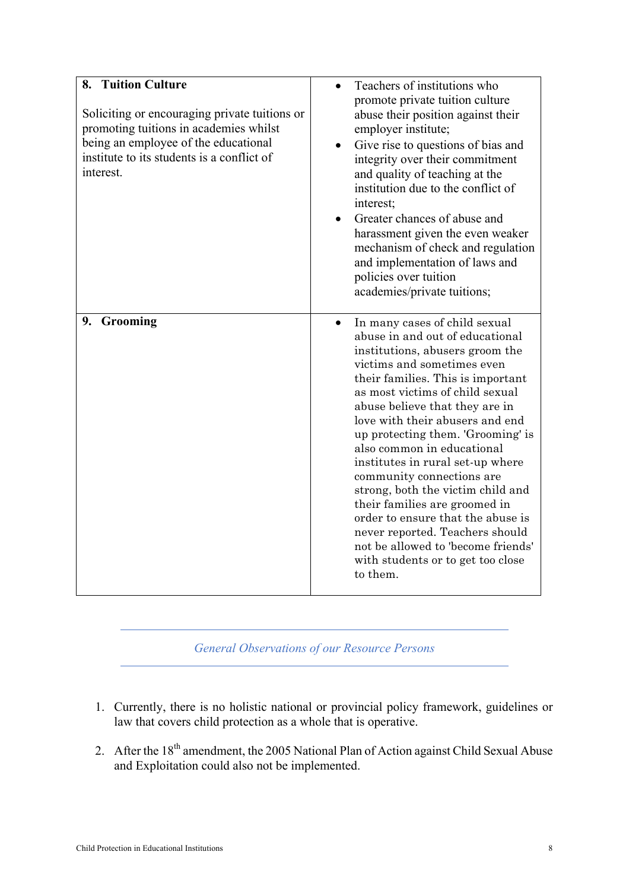| 8. Tuition Culture                                                                                                                                                                         |                                                                                                                                                                                                                                                                                                                                                                                                                                                                                                                                                                                                                                                         |
|--------------------------------------------------------------------------------------------------------------------------------------------------------------------------------------------|---------------------------------------------------------------------------------------------------------------------------------------------------------------------------------------------------------------------------------------------------------------------------------------------------------------------------------------------------------------------------------------------------------------------------------------------------------------------------------------------------------------------------------------------------------------------------------------------------------------------------------------------------------|
| Soliciting or encouraging private tuitions or<br>promoting tuitions in academies whilst<br>being an employee of the educational<br>institute to its students is a conflict of<br>interest. | Teachers of institutions who<br>promote private tuition culture<br>abuse their position against their<br>employer institute;<br>Give rise to questions of bias and<br>integrity over their commitment<br>and quality of teaching at the<br>institution due to the conflict of<br>interest;<br>Greater chances of abuse and<br>harassment given the even weaker<br>mechanism of check and regulation<br>and implementation of laws and<br>policies over tuition<br>academies/private tuitions;                                                                                                                                                           |
| 9. Grooming                                                                                                                                                                                | In many cases of child sexual<br>abuse in and out of educational<br>institutions, abusers groom the<br>victims and sometimes even<br>their families. This is important<br>as most victims of child sexual<br>abuse believe that they are in<br>love with their abusers and end<br>up protecting them. 'Grooming' is<br>also common in educational<br>institutes in rural set-up where<br>community connections are<br>strong, both the victim child and<br>their families are groomed in<br>order to ensure that the abuse is<br>never reported. Teachers should<br>not be allowed to 'become friends'<br>with students or to get too close<br>to them. |

*General Observations of our Resource Persons*

- 1. Currently, there is no holistic national or provincial policy framework, guidelines or law that covers child protection as a whole that is operative.
- 2. After the  $18<sup>th</sup>$  amendment, the 2005 National Plan of Action against Child Sexual Abuse and Exploitation could also not be implemented.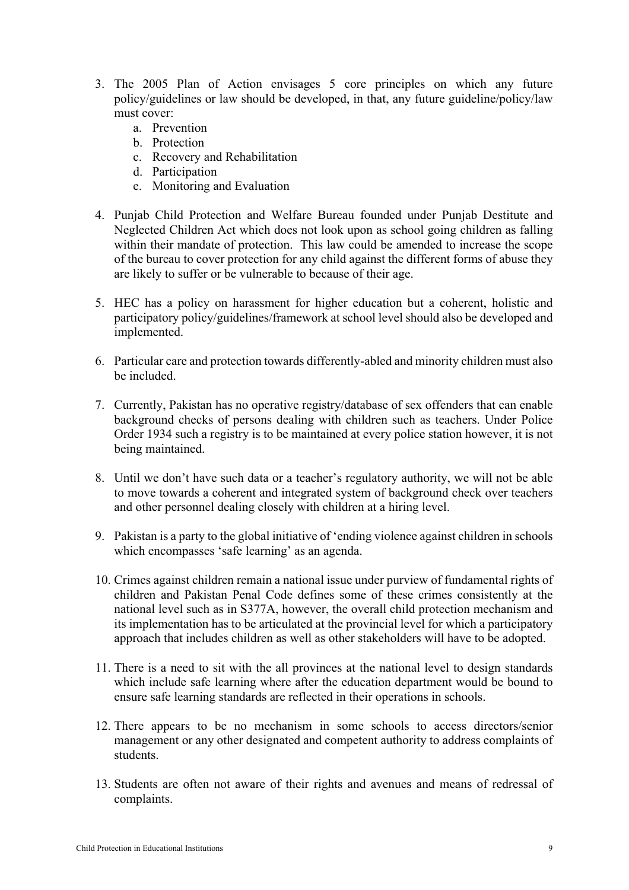- 3. The 2005 Plan of Action envisages 5 core principles on which any future policy/guidelines or law should be developed, in that, any future guideline/policy/law must cover:
	- a. Prevention
	- b. Protection
	- c. Recovery and Rehabilitation
	- d. Participation
	- e. Monitoring and Evaluation
- 4. Punjab Child Protection and Welfare Bureau founded under Punjab Destitute and Neglected Children Act which does not look upon as school going children as falling within their mandate of protection. This law could be amended to increase the scope of the bureau to cover protection for any child against the different forms of abuse they are likely to suffer or be vulnerable to because of their age.
- 5. HEC has a policy on harassment for higher education but a coherent, holistic and participatory policy/guidelines/framework at school level should also be developed and implemented.
- 6. Particular care and protection towards differently-abled and minority children must also be included.
- 7. Currently, Pakistan has no operative registry/database of sex offenders that can enable background checks of persons dealing with children such as teachers. Under Police Order 1934 such a registry is to be maintained at every police station however, it is not being maintained.
- 8. Until we don't have such data or a teacher's regulatory authority, we will not be able to move towards a coherent and integrated system of background check over teachers and other personnel dealing closely with children at a hiring level.
- 9. Pakistan is a party to the global initiative of 'ending violence against children in schools which encompasses 'safe learning' as an agenda.
- 10. Crimes against children remain a national issue under purview of fundamental rights of children and Pakistan Penal Code defines some of these crimes consistently at the national level such as in S377A, however, the overall child protection mechanism and its implementation has to be articulated at the provincial level for which a participatory approach that includes children as well as other stakeholders will have to be adopted.
- 11. There is a need to sit with the all provinces at the national level to design standards which include safe learning where after the education department would be bound to ensure safe learning standards are reflected in their operations in schools.
- 12. There appears to be no mechanism in some schools to access directors/senior management or any other designated and competent authority to address complaints of students.
- 13. Students are often not aware of their rights and avenues and means of redressal of complaints.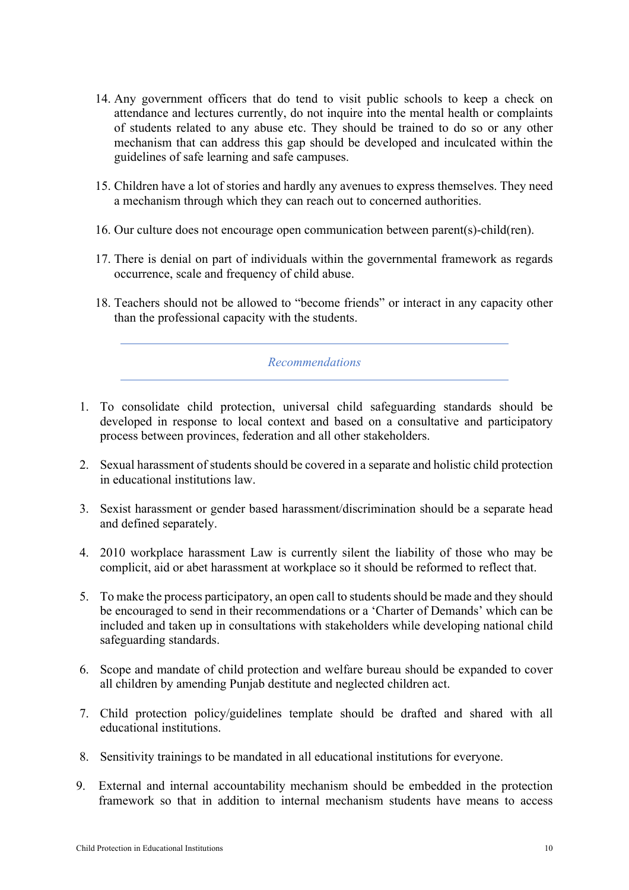- 14. Any government officers that do tend to visit public schools to keep a check on attendance and lectures currently, do not inquire into the mental health or complaints of students related to any abuse etc. They should be trained to do so or any other mechanism that can address this gap should be developed and inculcated within the guidelines of safe learning and safe campuses.
- 15. Children have a lot of stories and hardly any avenues to express themselves. They need a mechanism through which they can reach out to concerned authorities.
- 16. Our culture does not encourage open communication between parent(s)-child(ren).
- 17. There is denial on part of individuals within the governmental framework as regards occurrence, scale and frequency of child abuse.
- 18. Teachers should not be allowed to "become friends" or interact in any capacity other than the professional capacity with the students.

*Recommendations*

- 1. To consolidate child protection, universal child safeguarding standards should be developed in response to local context and based on a consultative and participatory process between provinces, federation and all other stakeholders.
- 2. Sexual harassment of students should be covered in a separate and holistic child protection in educational institutions law.
- 3. Sexist harassment or gender based harassment/discrimination should be a separate head and defined separately.
- 4. 2010 workplace harassment Law is currently silent the liability of those who may be complicit, aid or abet harassment at workplace so it should be reformed to reflect that.
- 5. To make the process participatory, an open call to students should be made and they should be encouraged to send in their recommendations or a 'Charter of Demands' which can be included and taken up in consultations with stakeholders while developing national child safeguarding standards.
- 6. Scope and mandate of child protection and welfare bureau should be expanded to cover all children by amending Punjab destitute and neglected children act.
- 7. Child protection policy/guidelines template should be drafted and shared with all educational institutions.
- 8. Sensitivity trainings to be mandated in all educational institutions for everyone.
- 9. External and internal accountability mechanism should be embedded in the protection framework so that in addition to internal mechanism students have means to access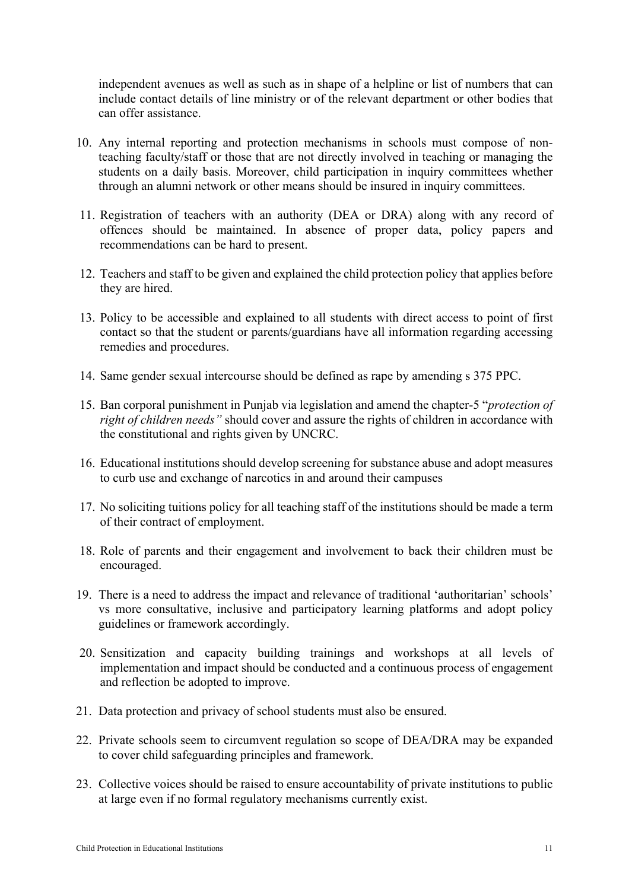independent avenues as well as such as in shape of a helpline or list of numbers that can include contact details of line ministry or of the relevant department or other bodies that can offer assistance.

- 10. Any internal reporting and protection mechanisms in schools must compose of nonteaching faculty/staff or those that are not directly involved in teaching or managing the students on a daily basis. Moreover, child participation in inquiry committees whether through an alumni network or other means should be insured in inquiry committees.
- 11. Registration of teachers with an authority (DEA or DRA) along with any record of offences should be maintained. In absence of proper data, policy papers and recommendations can be hard to present.
- 12. Teachers and staff to be given and explained the child protection policy that applies before they are hired.
- 13. Policy to be accessible and explained to all students with direct access to point of first contact so that the student or parents/guardians have all information regarding accessing remedies and procedures.
- 14. Same gender sexual intercourse should be defined as rape by amending s 375 PPC.
- 15. Ban corporal punishment in Punjab via legislation and amend the chapter-5 "*protection of right of children needs"* should cover and assure the rights of children in accordance with the constitutional and rights given by UNCRC.
- 16. Educational institutions should develop screening for substance abuse and adopt measures to curb use and exchange of narcotics in and around their campuses
- 17. No soliciting tuitions policy for all teaching staff of the institutions should be made a term of their contract of employment.
- 18. Role of parents and their engagement and involvement to back their children must be encouraged.
- 19. There is a need to address the impact and relevance of traditional 'authoritarian' schools' vs more consultative, inclusive and participatory learning platforms and adopt policy guidelines or framework accordingly.
- 20. Sensitization and capacity building trainings and workshops at all levels of implementation and impact should be conducted and a continuous process of engagement and reflection be adopted to improve.
- 21. Data protection and privacy of school students must also be ensured.
- 22. Private schools seem to circumvent regulation so scope of DEA/DRA may be expanded to cover child safeguarding principles and framework.
- 23. Collective voices should be raised to ensure accountability of private institutions to public at large even if no formal regulatory mechanisms currently exist.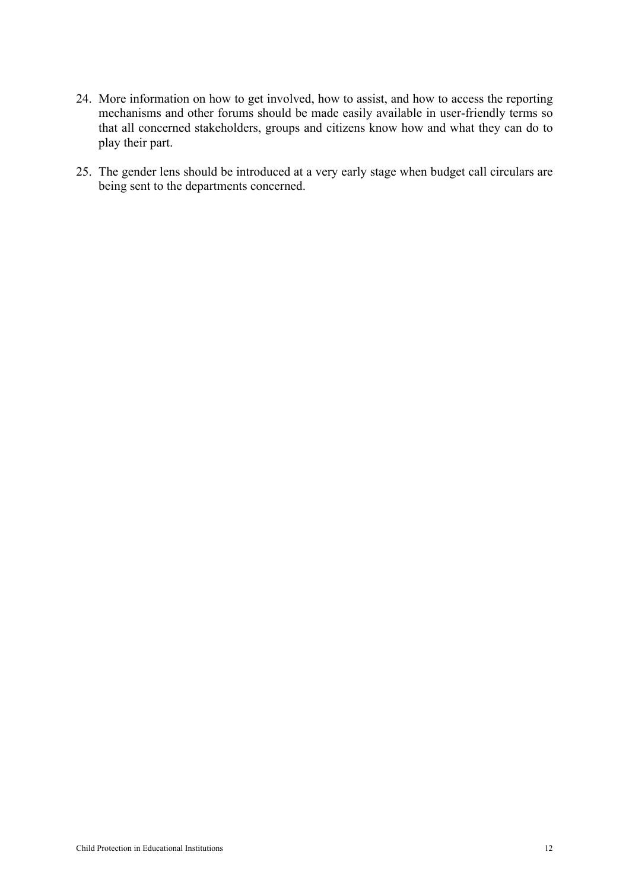- 24. More information on how to get involved, how to assist, and how to access the reporting mechanisms and other forums should be made easily available in user-friendly terms so that all concerned stakeholders, groups and citizens know how and what they can do to play their part.
- 25. The gender lens should be introduced at a very early stage when budget call circulars are being sent to the departments concerned.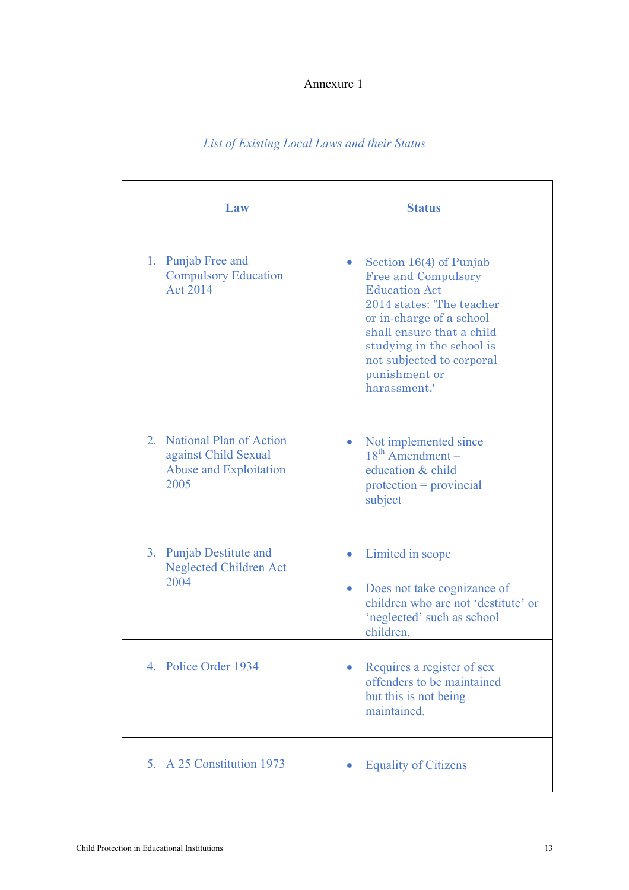### Annexure 1

# *List of Existing Local Laws and their Status*

| Law                                                                                  | <b>Status</b>                                                                                                                                                                                                                                                                 |
|--------------------------------------------------------------------------------------|-------------------------------------------------------------------------------------------------------------------------------------------------------------------------------------------------------------------------------------------------------------------------------|
| 1. Punjab Free and<br><b>Compulsory Education</b><br>Act 2014                        | Section $16(4)$ of Punjab<br>$\bullet$<br><b>Free and Compulsory</b><br><b>Education Act</b><br>2014 states: 'The teacher<br>or in-charge of a school<br>shall ensure that a child<br>studying in the school is<br>not subjected to corporal<br>punishment or<br>harassment.' |
| 2. National Plan of Action<br>against Child Sexual<br>Abuse and Exploitation<br>2005 | Not implemented since<br>$\bullet$<br>$18th$ Amendment –<br>education & child<br>$protection = providing$<br>subject                                                                                                                                                          |
| 3. Punjab Destitute and<br><b>Neglected Children Act</b><br>2004                     | Limited in scope<br>$\bullet$<br>Does not take cognizance of<br>$\bullet$<br>children who are not 'destitute' or<br>'neglected' such as school<br>children.                                                                                                                   |
| 4. Police Order 1934                                                                 | Requires a register of sex<br>$\bullet$<br>offenders to be maintained<br>but this is not being<br>maintained.                                                                                                                                                                 |
| 5. A 25 Constitution 1973                                                            | <b>Equality of Citizens</b><br>0                                                                                                                                                                                                                                              |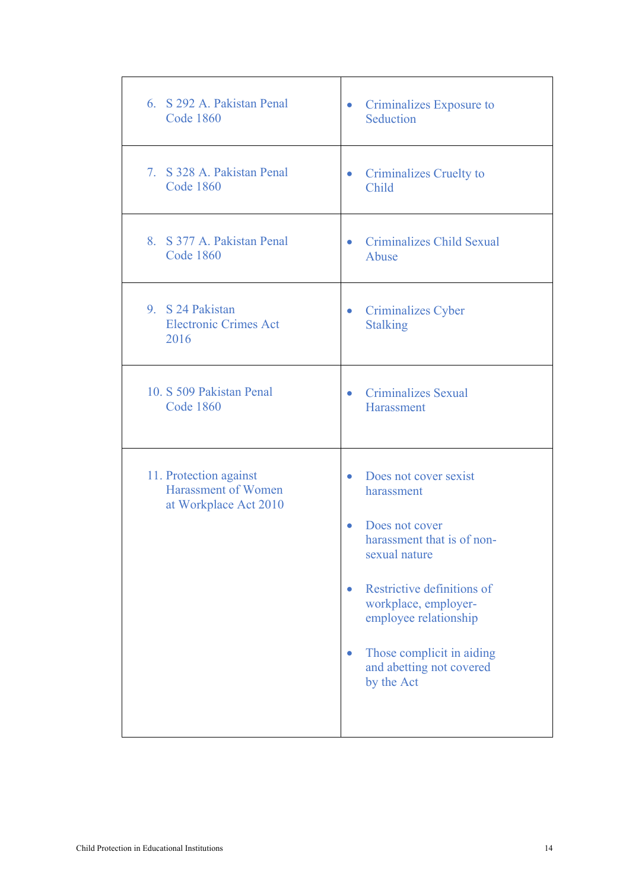| 6. S 292 A. Pakistan Penal<br><b>Code 1860</b>                                | Criminalizes Exposure to<br>$\bullet$<br>Seduction                                                                                                                                                                                                                                   |
|-------------------------------------------------------------------------------|--------------------------------------------------------------------------------------------------------------------------------------------------------------------------------------------------------------------------------------------------------------------------------------|
| 7. S 328 A. Pakistan Penal                                                    | • Criminalizes Cruelty to                                                                                                                                                                                                                                                            |
| <b>Code 1860</b>                                                              | Child                                                                                                                                                                                                                                                                                |
| 8. S 377 A. Pakistan Penal<br><b>Code 1860</b>                                | Criminalizes Child Sexual<br>$\bullet$<br>Abuse                                                                                                                                                                                                                                      |
| 9. S 24 Pakistan                                                              | Criminalizes Cyber                                                                                                                                                                                                                                                                   |
| <b>Electronic Crimes Act</b>                                                  | $\bullet$                                                                                                                                                                                                                                                                            |
| 2016                                                                          | <b>Stalking</b>                                                                                                                                                                                                                                                                      |
| 10. S 509 Pakistan Penal                                                      | • Criminalizes Sexual                                                                                                                                                                                                                                                                |
| <b>Code 1860</b>                                                              | Harassment                                                                                                                                                                                                                                                                           |
| 11. Protection against<br><b>Harassment of Women</b><br>at Workplace Act 2010 | Does not cover sexist<br>$\bullet$<br>harassment<br>Does not cover<br>$\bullet$<br>harassment that is of non-<br>sexual nature<br>Restrictive definitions of<br>workplace, employer-<br>employee relationship<br>Those complicit in aiding<br>and abetting not covered<br>by the Act |